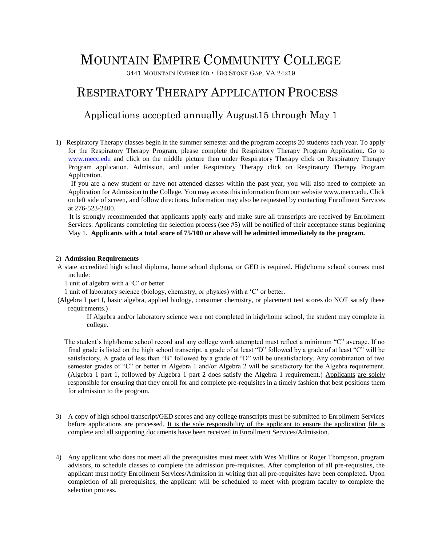# MOUNTAIN EMPIRE COMMUNITY COLLEGE

3441 MOUNTAIN EMPIRE RD • BIG STONE GAP, VA 24219

## RESPIRATORY THERAPY APPLICATION PROCESS

### Applications accepted annually August15 through May 1

1) Respiratory Therapy classes begin in the summer semester and the program accepts 20 students each year. To apply for the Respiratory Therapy Program, please complete the Respiratory Therapy Program Application. Go to www.mecc.edu and click on the middle picture then under Respiratory Therapy click on Respiratory Therapy Program application. Admission, and under Respiratory Therapy click on Respiratory Therapy Program Application.

 If you are a new student or have not attended classes within the past year, you will also need to complete an Application for Admission to the College. You may access this information from our website www.mecc.edu. Click on left side of screen, and follow directions. Information may also be requested by contacting Enrollment Services at 276-523-2400.

 It is strongly recommended that applicants apply early and make sure all transcripts are received by Enrollment Services. Applicants completing the selection process (see #5) will be notified of their acceptance status beginning May 1. **Applicants with a total score of 75/100 or above will be admitted immediately to the program.** 

#### 2) **Admission Requirements**

- A state accredited high school diploma, home school diploma, or GED is required. High/home school courses must include:
	- 1 unit of algebra with a 'C' or better
	- 1 unit of laboratory science (biology, chemistry, or physics) with a 'C' or better.
- (Algebra I part I, basic algebra, applied biology, consumer chemistry, or placement test scores do NOT satisfy these requirements.)

If Algebra and/or laboratory science were not completed in high/home school, the student may complete in college.

 The student's high/home school record and any college work attempted must reflect a minimum "C" average. If no final grade is listed on the high school transcript, a grade of at least "D" followed by a grade of at least "C" will be satisfactory. A grade of less than "B" followed by a grade of "D" will be unsatisfactory. Any combination of two semester grades of "C" or better in Algebra 1 and/or Algebra 2 will be satisfactory for the Algebra requirement. (Algebra 1 part 1, followed by Algebra 1 part 2 does satisfy the Algebra 1 requirement.) Applicants are solely responsible for ensuring that they enroll for and complete pre-requisites in a timely fashion that best positions them for admission to the program.

- 3) A copy of high school transcript/GED scores and any college transcripts must be submitted to Enrollment Services before applications are processed. It is the sole responsibility of the applicant to ensure the application file is complete and all supporting documents have been received in Enrollment Services/Admission.
- 4) Any applicant who does not meet all the prerequisites must meet with Wes Mullins or Roger Thompson, program advisors, to schedule classes to complete the admission pre-requisites. After completion of all pre-requisites, the applicant must notify Enrollment Services/Admission in writing that all pre-requisites have been completed. Upon completion of all prerequisites, the applicant will be scheduled to meet with program faculty to complete the selection process.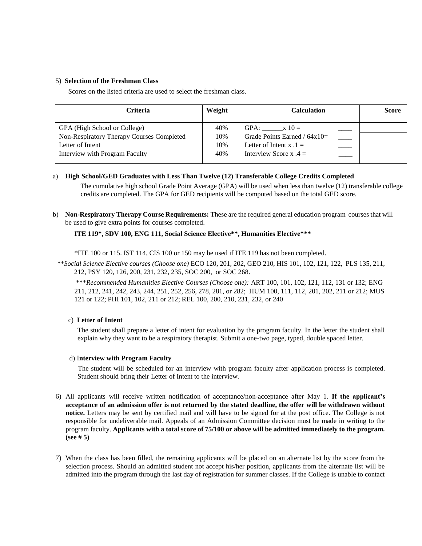#### 5) **Selection of the Freshman Class**

Scores on the listed criteria are used to select the freshman class.

| Criteria                                  | Weight | <b>Calculation</b>             | <b>Score</b> |
|-------------------------------------------|--------|--------------------------------|--------------|
| GPA (High School or College)              | 40%    | GPA:<br>$x = 10$               |              |
| Non-Respiratory Therapy Courses Completed | 10%    | Grade Points Earned / $64x10=$ |              |
| Letter of Intent                          | 10%    | Letter of Intent x $.1 =$      |              |
| Interview with Program Faculty            | 40%    | Interview Score x $.4 =$       |              |

#### a) **High School/GED Graduates with Less Than Twelve (12) Transferable College Credits Completed**

The cumulative high school Grade Point Average (GPA) will be used when less than twelve (12) transferable college credits are completed. The GPA for GED recipients will be computed based on the total GED score.

b) **Non-Respiratory Therapy Course Requirements:** These are the required general education program courses that will be used to give extra points for courses completed.

#### **ITE 119\*, SDV 100, ENG 111, Social Science Elective\*\*, Humanities Elective\*\*\***

\*ITE 100 or 115. IST 114, CIS 100 or 150 may be used if ITE 119 has not been completed.

\*\**Social Science Elective courses (Choose one)* ECO 120, 201, 202, GEO 210, HIS 101, 102, 121, 122, PLS 135, 211, 212, PSY 120, 126, 200, 231, 232, 235, SOC 200, or SOC 268.

\*\*\**Recommended Humanities Elective Courses (Choose one):* ART 100, 101, 102, 121, 112, 131 or 132; ENG 211, 212, 241, 242, 243, 244, 251, 252, 256, 278, 281, or 282; HUM 100, 111, 112, 201, 202, 211 or 212; MUS 121 or 122; PHI 101, 102, 211 or 212; REL 100, 200, 210, 231, 232, or 240

#### c) **Letter of Intent**

The student shall prepare a letter of intent for evaluation by the program faculty. In the letter the student shall explain why they want to be a respiratory therapist. Submit a one-two page, typed, double spaced letter.

#### d) I**nterview with Program Faculty**

The student will be scheduled for an interview with program faculty after application process is completed. Student should bring their Letter of Intent to the interview.

- 6) All applicants will receive written notification of acceptance/non-acceptance after May 1. **If the applicant's acceptance of an admission offer is not returned by the stated deadline, the offer will be withdrawn without notice.** Letters may be sent by certified mail and will have to be signed for at the post office. The College is not responsible for undeliverable mail. Appeals of an Admission Committee decision must be made in writing to the program faculty. **Applicants with a total score of 75/100 or above will be admitted immediately to the program. (see # 5)**
- 7) When the class has been filled, the remaining applicants will be placed on an alternate list by the score from the selection process. Should an admitted student not accept his/her position, applicants from the alternate list will be admitted into the program through the last day of registration for summer classes. If the College is unable to contact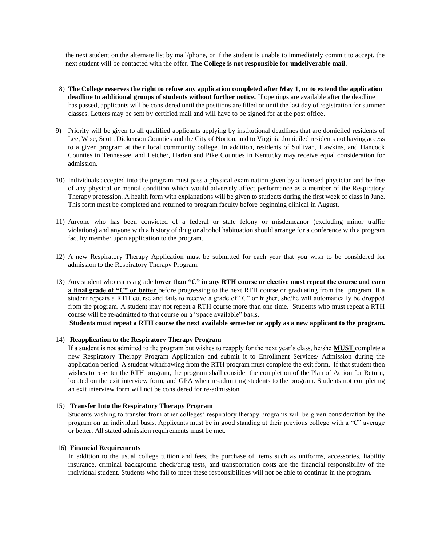the next student on the alternate list by mail/phone, or if the student is unable to immediately commit to accept, the next student will be contacted with the offer. **The College is not responsible for undeliverable mail**.

- 8) **The College reserves the right to refuse any application completed after May 1, or to extend the application deadline to additional groups of students without further notice.** If openings are available after the deadline has passed, applicants will be considered until the positions are filled or until the last day of registration for summer classes. Letters may be sent by certified mail and will have to be signed for at the post office.
- 9) Priority will be given to all qualified applicants applying by institutional deadlines that are domiciled residents of Lee, Wise, Scott, Dickenson Counties and the City of Norton, and to Virginia domiciled residents not having access to a given program at their local community college. In addition, residents of Sullivan, Hawkins, and Hancock Counties in Tennessee, and Letcher, Harlan and Pike Counties in Kentucky may receive equal consideration for admission.
- 10) Individuals accepted into the program must pass a physical examination given by a licensed physician and be free of any physical or mental condition which would adversely affect performance as a member of the Respiratory Therapy profession. A health form with explanations will be given to students during the first week of class in June. This form must be completed and returned to program faculty before beginning clinical in August.
- 11) Anyone who has been convicted of a federal or state felony or misdemeanor (excluding minor traffic violations) and anyone with a history of drug or alcohol habituation should arrange for a conference with a program faculty member upon application to the program.
- 12) A new Respiratory Therapy Application must be submitted for each year that you wish to be considered for admission to the Respiratory Therapy Program.
- 13) Any student who earns a grade **lower than "C" in any RTH course or elective must repeat the course and earn a final grade of "C" or better** before progressing to the next RTH course or graduating from the program. If a student repeats a RTH course and fails to receive a grade of "C" or higher, she/he will automatically be dropped from the program. A student may not repeat a RTH course more than one time. Students who must repeat a RTH course will be re-admitted to that course on a "space available" basis. **Students must repeat a RTH course the next available semester or apply as a new applicant to the program.**

#### 14) **Reapplication to the Respiratory Therapy Program**

If a student is not admitted to the program but wishes to reapply for the next year's class, he/she **MUST** complete a new Respiratory Therapy Program Application and submit it to Enrollment Services/ Admission during the application period. A student withdrawing from the RTH program must complete the exit form. If that student then wishes to re-enter the RTH program, the program shall consider the completion of the Plan of Action for Return, located on the exit interview form, and GPA when re-admitting students to the program. Students not completing an exit interview form will not be considered for re-admission.

#### 15) **Transfer Into the Respiratory Therapy Program**

Students wishing to transfer from other colleges' respiratory therapy programs will be given consideration by the program on an individual basis. Applicants must be in good standing at their previous college with a "C" average or better. All stated admission requirements must be met.

#### 16) **Financial Requirements**

In addition to the usual college tuition and fees, the purchase of items such as uniforms, accessories, liability insurance, criminal background check/drug tests, and transportation costs are the financial responsibility of the individual student. Students who fail to meet these responsibilities will not be able to continue in the program.